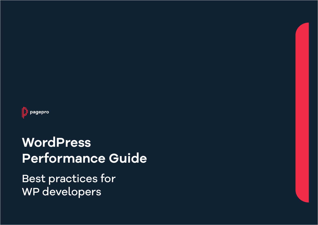

# **WordPress Performance Guide**

Best practices for WP developers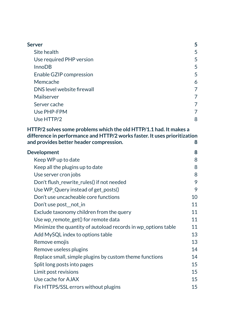| <b>Server</b>                                                                                                                                                                              | 5              |
|--------------------------------------------------------------------------------------------------------------------------------------------------------------------------------------------|----------------|
| Site health                                                                                                                                                                                | 5              |
| Use required PHP version                                                                                                                                                                   | 5              |
| <b>InnoDB</b>                                                                                                                                                                              | 5              |
| Enable GZIP compression                                                                                                                                                                    | 5              |
| Memcache                                                                                                                                                                                   | 6              |
| DNS level website firewall                                                                                                                                                                 | $\overline{7}$ |
| Mailserver                                                                                                                                                                                 | 7              |
| Server cache                                                                                                                                                                               | 7              |
| Use PHP-FPM                                                                                                                                                                                | 7              |
| Use HTTP/2                                                                                                                                                                                 | 8              |
| HTTP/2 solves some problems which the old HTTP/1.1 had. It makes a<br>difference in performance and HTTP/2 works faster. It uses prioritization<br>and provides better header compression. | 8              |
| <b>Development</b>                                                                                                                                                                         | 8              |
| Keep WP up to date                                                                                                                                                                         | 8              |
| Keep all the plugins up to date                                                                                                                                                            | 8              |
| Use server cron jobs                                                                                                                                                                       | 8              |
| Don't flush_rewrite_rules() if not needed                                                                                                                                                  | 9              |
| Use WP_Query instead of get_posts()                                                                                                                                                        | 9              |
| Don't use uncacheable core functions                                                                                                                                                       | 10             |
| Don't use post_not_in                                                                                                                                                                      | 11             |
| Exclude taxonomy children from the query                                                                                                                                                   | 11             |
| Use wp_remote_get() for remote data                                                                                                                                                        | 11             |
| Minimize the quantity of autoload records in wp_options table                                                                                                                              | 11             |
| Add MySQL index to options table                                                                                                                                                           | 13             |
| Remove emojis                                                                                                                                                                              | 13             |
| Remove useless plugins                                                                                                                                                                     | 14             |
| Replace small, simple plugins by custom theme functions                                                                                                                                    | 14             |
| Split long posts into pages                                                                                                                                                                | 15             |
| Limit post revisions                                                                                                                                                                       | 15             |
| Use cache for AJAX                                                                                                                                                                         | 15             |
| Fix HTTPS/SSL errors without plugins                                                                                                                                                       | 15             |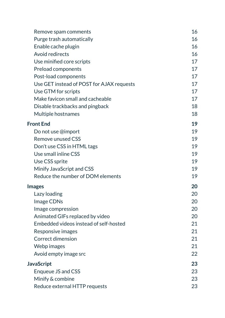| Remove spam comments                      | 16 |
|-------------------------------------------|----|
| Purge trash automatically                 | 16 |
| Enable cache plugin                       | 16 |
| Avoid redirects                           | 16 |
| Use minified core scripts                 | 17 |
| Preload components                        | 17 |
| Post-load components                      | 17 |
| Use GET instead of POST for AJAX requests | 17 |
| Use GTM for scripts                       | 17 |
| Make favicon small and cacheable          | 17 |
| Disable trackbacks and pingback           | 18 |
| Multiple hostnames                        | 18 |
| <b>Front End</b>                          | 19 |
| Do not use @import                        | 19 |
| <b>Remove unused CSS</b>                  | 19 |
| Don't use CSS in HTML tags                | 19 |
| Use small inline CSS                      | 19 |
| Use CSS sprite                            | 19 |
| Minify JavaScript and CSS                 | 19 |
| Reduce the number of DOM elements         | 19 |
| <b>Images</b>                             | 20 |
| Lazy loading                              | 20 |
| Image CDNs                                | 20 |
| Image compression                         | 20 |
| Animated GIFs replaced by video           | 20 |
| Embedded videos instead of self-hosted    | 21 |
| Responsive images                         | 21 |
| <b>Correct dimension</b>                  | 21 |
| Webp images                               | 21 |
| Avoid empty image src                     | 22 |
| JavaScript                                | 23 |
| Enqueue JS and CSS                        | 23 |
| Minify & combine                          | 23 |
| Reduce external HTTP requests             | 23 |
|                                           |    |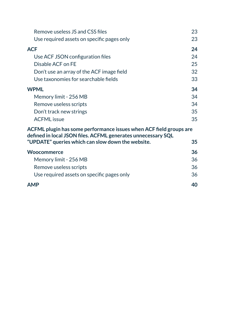| Remove useless JS and CSS files                                                                                   | 23 |  |  |
|-------------------------------------------------------------------------------------------------------------------|----|--|--|
| Use required assets on specific pages only                                                                        | 23 |  |  |
| <b>ACF</b>                                                                                                        | 24 |  |  |
| Use ACF JSON configuration files                                                                                  | 24 |  |  |
| Disable ACF on FE                                                                                                 | 25 |  |  |
| Don't use an array of the ACF image field                                                                         | 32 |  |  |
| Use taxonomies for searchable fields                                                                              | 33 |  |  |
| <b>WPML</b>                                                                                                       |    |  |  |
| Memory limit - 256 MB                                                                                             | 34 |  |  |
| Remove useless scripts                                                                                            | 34 |  |  |
| Don't track new strings                                                                                           | 35 |  |  |
| <b>ACFML</b> issue                                                                                                | 35 |  |  |
| ACFML plugin has some performance issues when ACF field groups are                                                |    |  |  |
| defined in local JSON files. ACFML generates unnecessary SQL<br>"UPDATE" queries which can slow down the website. | 35 |  |  |
| Woocommerce                                                                                                       |    |  |  |
| Memory limit - 256 MB                                                                                             | 36 |  |  |
| Remove useless scripts                                                                                            | 36 |  |  |
| Use required assets on specific pages only                                                                        | 36 |  |  |
| <b>AMP</b>                                                                                                        | 40 |  |  |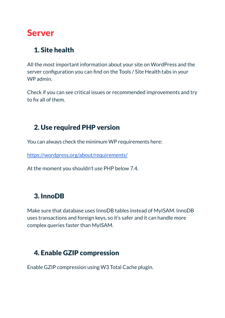# <span id="page-4-0"></span>Server

#### <span id="page-4-1"></span>1. Site health

All the most important information about your site on WordPress and the server configuration you can find on the Tools / Site Health tabs in your WP admin.

Check if you can see critical issues or recommended improvements and try to fix all of them.

#### <span id="page-4-2"></span>2. Use required PHP version

You can always check the minimum WP requirements here:

<https://wordpress.org/about/requirements/>

At the moment you shouldn't use PHP below 7.4.

#### <span id="page-4-3"></span>3. InnoDB

Make sure that database uses InnoDB tables instead of MyISAM. InnoDB uses transactions and foreign keys, so it's safer and it can handle more complex queries faster than MyISAM.

#### <span id="page-4-4"></span>4. Enable GZIP compression

Enable GZIP compression using W3 Total Cache plugin.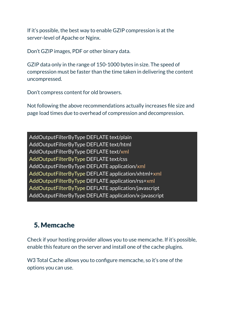If it's possible, the best way to enable GZIP compression is at the server-level of Apache or Nginx.

Don't GZIP images, PDF or other binary data.

GZIP data only in the range of 150-1000 bytes in size. The speed of compression must be faster than the time taken in delivering the content uncompressed.

Don't compress content for old browsers.

Not following the above recommendations actually increases file size and page load times due to overhead of compression and decompression.

AddOutputFilterByType DEFLATE text/plain AddOutputFilterByType DEFLATE text/html AddOutputFilterByType DEFLATE text/xml AddOutputFilterByType DEFLATE text/css AddOutputFilterByType DEFLATE application/xml AddOutputFilterByType DEFLATE application/xhtml+xml AddOutputFilterByType DEFLATE application/rss+xml AddOutputFilterByType DEFLATE application/javascript AddOutputFilterByType DEFLATE application/x-javascript

#### <span id="page-5-0"></span>5. Memcache

Check if your hosting provider allows you to use memcache. If it's possible, enable this feature on the server and install one of the cache plugins.

W3 Total Cache allows you to configure memcache, so it's one of the options you can use.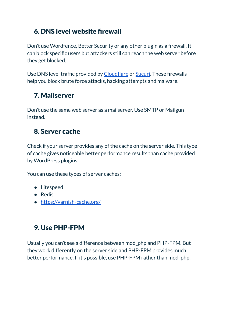#### <span id="page-6-0"></span>6. DNS level website firewall

Don't use Wordfence, Better Security or any other plugin as a firewall. It can block specific users but attackers still can reach the web server before they get blocked.

Use DNS level traffic provided by [Cloudflare](https://www.cloudflare.com/) or [Sucuri.](https://sucuri.net/) These firewalls help you block brute force attacks, hacking attempts and malware.

#### <span id="page-6-1"></span>7. Mailserver

Don't use the same web server as a mailserver. Use SMTP or Mailgun instead.

#### <span id="page-6-2"></span>8. Server cache

Check if your server provides any of the cache on the server side. This type of cache gives noticeable better performance results than cache provided by WordPress plugins.

You can use these types of server caches:

- Litespeed
- Redis
- <https://varnish-cache.org/>

## <span id="page-6-3"></span>9. Use PHP-FPM

Usually you can't see a difference between mod\_php and PHP-FPM. But they work differently on the server side and PHP-FPM provides much better performance. If it's possible, use PHP-FPM rather than mod\_php.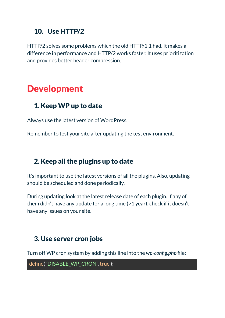#### <span id="page-7-0"></span>10. Use HTTP/2

<span id="page-7-1"></span>HTTP/2 solves some problems which the old HTTP/1.1 had. It makes a difference in performance and HTTP/2 works faster. It uses prioritization and provides better header compression.

# <span id="page-7-2"></span>Development

#### <span id="page-7-3"></span>1. Keep WP up to date

Always use the latest version of WordPress.

Remember to test your site after updating the test environment.

#### <span id="page-7-4"></span>2. Keep all the plugins up to date

It's important to use the latest versions of all the plugins. Also, updating should be scheduled and done periodically.

During updating look at the latest release date of each plugin. If any of them didn't have any update for a long time (>1 year), check if it doesn't have any issues on your site.

#### <span id="page-7-5"></span>3. Use server cron jobs

Turn off WP cron system by adding this line into the *wp-config.php* file:

define( 'DISABLE\_WP\_CRON', true );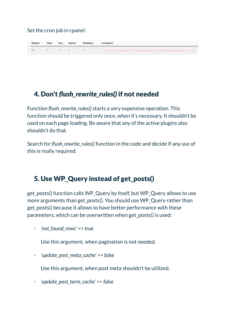#### Set the cron job in cpanel:

| <b>Minute</b> | Hour | Dav          | Month Weekday | Command                                                                    |
|---------------|------|--------------|---------------|----------------------------------------------------------------------------|
| $*$ /5        |      | $\mathbf{x}$ |               | /usr/local/bin/ea-php74 /home/pagepro/public_html/knowadays/wp/wp-cron.php |

#### <span id="page-8-0"></span>4. Don't *flush\_rewrite\_rules()* if not needed

Function *flush\_rewrite\_rules()* starts a very expensive operation. This function should be triggered only once, when it's necessary. It shouldn't be used on each page loading. Be aware that any of the active plugins also shouldn't do that.

Search for *flush\_rewrite\_rules()* function in the code and decide if any use of this is really required.

#### <span id="page-8-1"></span>5. Use WP\_Query instead of get\_posts()

get\_posts() function calls WP\_Query by itself, but WP\_Query allows to use more arguments than get posts(). You should use WP Query rather than get\_posts() because it allows to have better performance with these parameters, which can be overwritten when get\_posts() is used:

*- 'not\_found\_rows' => true*

Use this argument, when pagination is not needed.

*- 'update\_post\_meta\_cache' => false*

Use this argument, when post meta shouldn't be utilized.

*- 'update\_post\_term\_cache' => false*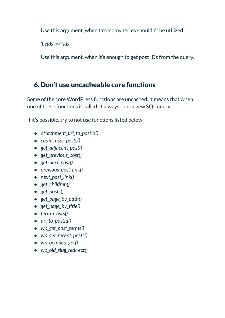Use this argument, when taxonomy terms shouldn't be utilized.

*- 'fields' => 'ids'*

Use this argument, when it's enough to get post IDs from the query.

#### <span id="page-9-0"></span>6. Don't use uncacheable core functions

Some of the core WordPress functions are uncached. It means that when one of these functions is called, it always runs a new SQL query.

If it's possible, try to not use functions listed below:

- *● attachment\_url\_to\_postid()*
- *● count\_user\_posts()*
- *● get\_adjacent\_post()*
- *● get\_previous\_post()*
- *● get\_next\_post()*
- *● previous\_post\_link()*
- *● next\_post\_link()*
- *● get\_children()*
- *● get\_posts()*
- *● get\_page\_by\_path()*
- *● get\_page\_by\_title()*
- *● term\_exists()*
- *● url\_to\_postid()*
- *● wp\_get\_post\_terms()*
- *● wp\_get\_recent\_posts()*
- *● wp\_oembed\_get()*
- *● wp\_old\_slug\_redirect()*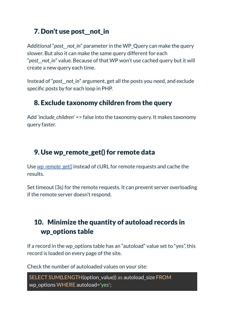#### <span id="page-10-0"></span>7. Don't use post\_\_not\_in

Additional "*post\_\_not\_in*" parameter in the WP\_Query can make the query slower. But also it can make the same query different for each "*post\_\_not\_in*" value. Because of that WP won't use cached query but it will create a new query each time.

Instead of "*post\_\_not\_in*" argument, get all the posts you need, and exclude specific posts by for each loop in PHP.

#### <span id="page-10-1"></span>8. Exclude taxonomy children from the query

Add '*include\_children*' => false into the taxonomy query. It makes taxonomy query faster.

#### <span id="page-10-2"></span>9. Use wp\_remote\_get() for remote data

Use *[wp\\_remote\\_get\(\)](https://developer.wordpress.org/reference/functions/wp_remote_get/)* instead of cURL for remote requests and cache the results.

Set timeout (3s) for the remote requests. It can prevent server overloading if the remote server doesn't respond.

#### <span id="page-10-3"></span>10. Minimize the quantity of autoload records in wp\_options table

If a record in the wp\_options table has an "autoload" value set to "yes", this record is loaded on every page of the site.

Check the number of autoloaded values on your site:

```
SELECT SUM(LENGTH(option_value)) as autoload_size FROM
wp_options WHERE autoload='yes';
```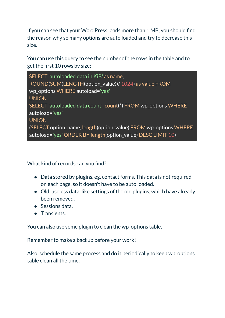If you can see that your WordPress loads more than 1 MB, you should find the reason why so many options are auto loaded and try to decrease this size.

You can use this query to see the number of the rows in the table and to get the first 10 rows by size:

| SELECT 'autoloaded data in KiB' as name,                                                                                       |
|--------------------------------------------------------------------------------------------------------------------------------|
| ROUND(SUM(LENGTH(option_value))/ 1024) as value FROM                                                                           |
| wp_options WHERE autoload='yes'                                                                                                |
| <b>UNION</b>                                                                                                                   |
| SELECT 'autoloaded data count', count(*) FROM wp_options WHERE                                                                 |
| autoload='yes'                                                                                                                 |
| <b>UNION</b>                                                                                                                   |
| (SELECT option_name, length(option_value) FROM wp_options WHERE<br>autoload='yes' ORDER BY length(option_value) DESC LIMIT 10) |

What kind of records can you find?

- Data stored by plugins, eg. contact forms. This data is not required on each page, so it doesn't have to be auto loaded.
- Old, useless data, like settings of the old plugins, which have already been removed.
- Sessions data.
- Transients.

You can also use some plugin to clean the wp\_options table.

Remember to make a backup before your work!

Also, schedule the same process and do it periodically to keep wp\_options table clean all the time.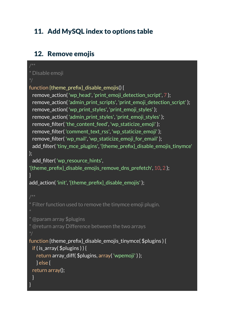#### <span id="page-12-0"></span>11. Add MySQL index to options table

#### <span id="page-12-1"></span>12. Remove emojis

```
* Disable emoji
function {theme_prefix} disable_emojis() {
 remove_action( 'wp_head', 'print_emoji_detection_script', 7 );
 remove_action( 'admin_print_scripts', 'print_emoji_detection_script' );
 remove action( 'wp print styles', 'print emoji styles' );
 remove_action( 'admin_print_styles', 'print_emoji_styles' );
 remove_filter( 'the_content_feed', 'wp_staticize_emoji' );
 remove_filter( 'comment_text_rss', 'wp_staticize_emoji' );
 remove_filter( 'wp_mail', 'wp_staticize_emoji_for_email' );
 add_filter( 'tiny_mce_plugins', '{theme_prefix}_disable_emojis_tinymce'
);
 add_filter( 'wp_resource_hints',
'{theme prefix} disable emojis remove dns prefetch', 10, 2 );
}
add action('init', '{theme prefix} disable emojis');
* Filter function used to remove the tinymce emoji plugin.
* @param array $plugins
* @return array Difference between the two arrays
function {theme_prefix}_disable_emojis_tinymce( $plugins ) {
 if ( is array(f) $plugins ) ) {
   return array_diff( $plugins, array( 'wpemoji' ) );
  } else {
 return array();
 }
}
```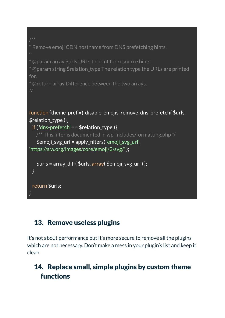```
* Remove emoji CDN hostname from DNS prefetching hints.
* @param array $urls URLs to print for resource hints.
* @param string $relation type The relation type the URLs are printed
for.
* @return array Difference between the two arrays.
function {theme_prefix}_disable_emojis_remove_dns_prefetch( $urls,
$relation_type ) {
 if ('dns-prefetch' == $relation type) {
   \gamma^{**} This filter is documented in wp-includes/formatting.php \gamma$emoji_svg_url = apply_filters( 'emoji_svg_url',
'https://s.w.org/images/core/emoji/2/svg/' );
   $urls = array diff( $urls, array( $emoji svg url ) };
 }
 return $urls;
}
```
#### <span id="page-13-0"></span>13. Remove useless plugins

It's not about performance but it's more secure to remove all the plugins which are not necessary. Don't make a mess in your plugin's list and keep it clean.

#### <span id="page-13-1"></span>14. Replace small, simple plugins by custom theme functions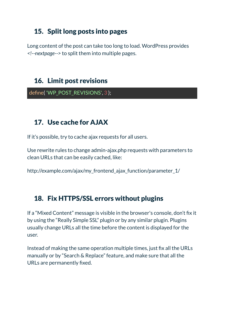#### <span id="page-14-0"></span>15. Split long posts into pages

Long content of the post can take too long to load. WordPress provides *<!--nextpage-->* to split them into multiple pages.

#### <span id="page-14-1"></span>16. Limit post revisions

define( 'WP\_POST\_REVISIONS', 3 );

#### <span id="page-14-2"></span>17. Use cache for AJAX

If it's possible, try to cache ajax requests for all users.

Use rewrite rules to change admin-ajax.php requests with parameters to clean URLs that can be easily cached, like:

http://example.com/ajax/my\_frontend\_ajax\_function/parameter\_1/

#### <span id="page-14-3"></span>18. Fix HTTPS/SSL errors without plugins

If a "Mixed Content" message is visible in the browser's console, don't fix it by using the "Really Simple SSL" plugin or by any similar plugin. Plugins usually change URLs all the time before the content is displayed for the user.

Instead of making the same operation multiple times, just fix all the URLs manually or by "Search & Replace" feature, and make sure that all the URLs are permanently fixed.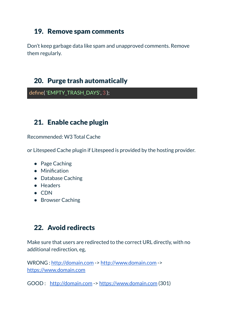#### <span id="page-15-0"></span>19. Remove spam comments

Don't keep garbage data like spam and unapproved comments. Remove them regularly.

#### <span id="page-15-1"></span>20. Purge trash automatically

define( 'EMPTY\_TRASH\_DAYS', 3 );

#### <span id="page-15-2"></span>21. Enable cache plugin

Recommended: W3 Total Cache

or Litespeed Cache plugin if Litespeed is provided by the hosting provider.

- Page Caching
- Minification
- Database Caching
- Headers
- CDN
- Browser Caching

#### <span id="page-15-3"></span>22. Avoid redirects

Make sure that users are redirected to the correct URL directly, with no additional redirection, eg,

WRONG : <http://domain.com> -> <http://www.domain.com> -> <https://www.domain.com>

GOOD : <http://domain.com> -> <https://www.domain.com> (301)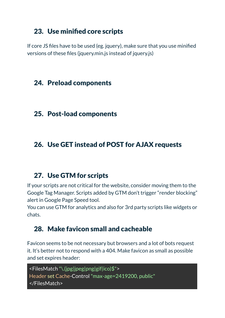#### <span id="page-16-0"></span>23. Use minified core scripts

If core JS files have to be used (eg. jquery), make sure that you use minified versions of these files (jquery.min.js instead of jquery.js)

#### <span id="page-16-1"></span>24. Preload components

#### <span id="page-16-2"></span>25. Post-load components

#### <span id="page-16-3"></span>26. Use GET instead of POST for AJAX requests

#### <span id="page-16-4"></span>27. Use GTM for scripts

If your scripts are not critical for the website, consider moving them to the Google Tag Manager. Scripts added by GTM don't trigger "render blocking" alert in Google Page Speed tool.

You can use GTM for analytics and also for 3rd party scripts like widgets or chats.

#### <span id="page-16-5"></span>28. Make favicon small and cacheable

Favicon seems to be not necessary but browsers and a lot of bots request it. It's better not to respond with a 404. Make favicon as small as possible and set expires header:

```
<FilesMatch "\.(jpg|jpeg|png|gif|ico)$">
Header set Cache-Control"max-age=2419200, public"
</FilesMatch>
```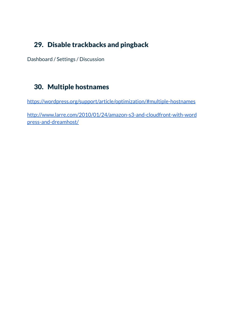#### <span id="page-17-0"></span>29. Disable trackbacks and pingback

Dashboard / Settings / Discussion

#### <span id="page-17-1"></span>30. Multiple hostnames

<https://wordpress.org/support/article/optimization/#multiple-hostnames>

[http://www.larre.com/2010/01/24/amazon-s3-and-cloudfront-with-word](http://www.larre.com/2010/01/24/amazon-s3-and-cloudfront-with-wordpress-and-dreamhost/) [press-and-dreamhost/](http://www.larre.com/2010/01/24/amazon-s3-and-cloudfront-with-wordpress-and-dreamhost/)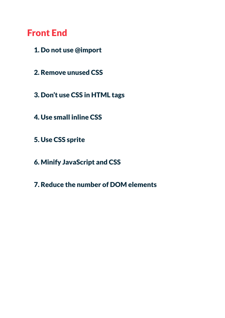# <span id="page-18-0"></span>Front End

- <span id="page-18-1"></span>1. Do not use @import
- <span id="page-18-2"></span>2. Remove unused CSS
- <span id="page-18-3"></span>3. Don't use CSS in HTML tags
- <span id="page-18-4"></span>4. Use small inline CSS
- <span id="page-18-5"></span>5. Use CSS sprite
- <span id="page-18-6"></span>6. Minify JavaScript and CSS
- <span id="page-18-7"></span>7. Reduce the number of DOM elements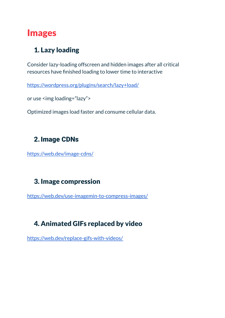# <span id="page-19-0"></span>Images

#### <span id="page-19-1"></span>1. Lazy loading

Consider lazy-loading offscreen and hidden images after all critical resources have finished loading to lower time to interactive

<https://wordpress.org/plugins/search/lazy+load/>

or use <img loading="lazy">

Optimized images load faster and consume cellular data.

#### <span id="page-19-2"></span>2.Image CDNs

<https://web.dev/image-cdns/>

#### <span id="page-19-3"></span>3. Image compression

<https://web.dev/use-imagemin-to-compress-images/>

## <span id="page-19-4"></span>4. Animated GIFs replaced by video

<https://web.dev/replace-gifs-with-videos/>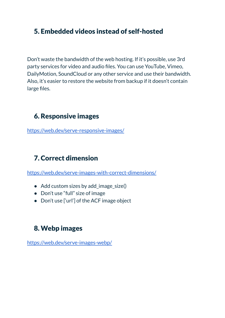#### <span id="page-20-0"></span>5. Embedded videos instead of self-hosted

Don't waste the bandwidth of the web hosting. If it's possible, use 3rd party services for video and audio files. You can use YouTube, Vimeo, DailyMotion, SoundCloud or any other service and use their bandwidth. Also, it's easier to restore the website from backup if it doesn't contain large files.

#### <span id="page-20-1"></span>6. Responsive images

<https://web.dev/serve-responsive-images/>

## <span id="page-20-2"></span>7. Correct dimension

<https://web.dev/serve-images-with-correct-dimensions/>

- Add custom sizes by add\_image\_size()
- Don't use "full" size of image
- Don't use ['url'] of the ACF image object

#### <span id="page-20-3"></span>8. Webp images

<https://web.dev/serve-images-webp/>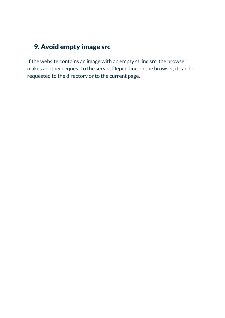#### <span id="page-21-0"></span>9. Avoid empty image src

If the website contains an image with an empty string src, the browser makes another request to the server. Depending on the browser, it can be requested to the directory or to the current page.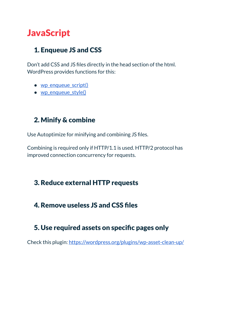# <span id="page-22-0"></span>**JavaScript**

#### <span id="page-22-1"></span>1. Enqueue JS and CSS

Don't add CSS and JS files directly in the head section of the html. WordPress provides functions for this:

- [wp\\_enqueue\\_script\(\)](https://developer.wordpress.org/reference/functions/wp_enqueue_script/)
- [wp\\_enqueue\\_style\(\)](https://developer.wordpress.org/reference/functions/wp_enqueue_style/)

#### <span id="page-22-2"></span>2. Minify & combine

Use Autoptimize for minifying and combining JS files.

Combining is required only if HTTP/1.1 is used. HTTP/2 protocol has improved connection concurrency for requests.

#### <span id="page-22-3"></span>3. Reduce external HTTP requests

#### <span id="page-22-4"></span>4. Remove useless JS and CSS files

#### <span id="page-22-5"></span>5. Use required assets on specific pages only

Check this plugin: <https://wordpress.org/plugins/wp-asset-clean-up/>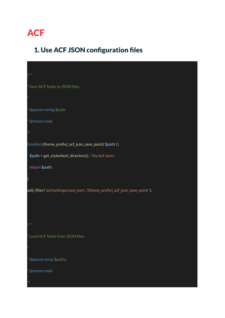# <span id="page-23-0"></span>**ACF**

## <span id="page-23-1"></span>1. Use ACF JSON configuration files

| $/$ **                                                                       |
|------------------------------------------------------------------------------|
| * Save ACF fields to JSON files.                                             |
| $\ast$                                                                       |
| * @param string \$path                                                       |
| * @return void                                                               |
| $^*/$                                                                        |
| function {theme_prefix}_acf_json_save_point( \$path ) {                      |
| \$path = get_stylesheet_directory() . '/inc/acf-json';                       |
| return \$path;                                                               |
|                                                                              |
| add_filter('acf/settings/save_json', '{theme_prefix}_acf_json_save_point' ); |
|                                                                              |
|                                                                              |
| /**                                                                          |
| * Load ACF fields from JSON files.                                           |
| $\ast$                                                                       |
| * @param array \$paths                                                       |
| * @return void                                                               |
| $^*/$                                                                        |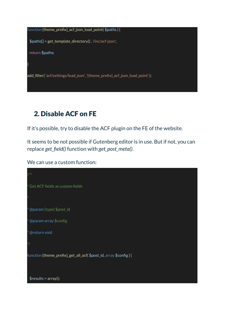function {theme\_prefix}\_acf\_json\_load\_point( \$paths ) {

\$paths[] = get\_template\_directory() . '/inc/acf-json';

return \$paths;

}

add\_filter( 'acf/settings/load\_json', '{theme\_prefix}\_acf\_json\_load\_point' );

#### <span id="page-24-0"></span>2. Disable ACF on FE

If it's possible, try to disable the ACF plugin on the FE of the website.

It seems to be not possible if Gutenberg editor is in use. But if not, you can replace *get\_field()* function with *get\_post\_meta()*.

We can use a custom function:

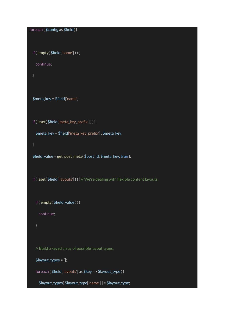foreach ( \$config as \$field ) {

```
if ( empty( $field['name'] ) ) {
```
continue;

}

```
$meta_key = $field['name'];
```
if ( isset( \$field['meta\_key\_prefix'] ) ) {

\$meta\_key = \$field['meta\_key\_prefix'] . \$meta\_key;

}

```
$field_value = get_post_meta( $post_id, $meta_key, true );
```
if ( isset( \$field['layouts'] ) ) { // We're dealing with flexible content layouts.

if ( empty( \$field\_value ) ) {

continue;

}

```
// Build a keyed array of possible layout types.
```

```
$layout_types = [];
```

```
foreach ( $field['layouts'] as $key => $layout_type ) {
```
\$layout\_types[ \$layout\_type['name'] ] = \$layout\_type;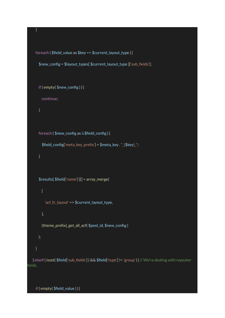```
foreach ( $field_value as $key => $current_layout_type ) {
      $new_config = $layout_types[ $current_layout_type ]['sub_fields'];
      if ( empty( $new_config ) ) {
        continue;
      foreach ( $new_config as &$field_config ) {
        $field_config['meta_key_prefix'] = $meta_key ."_{$key}_";
      }
      $results[ $field['name'] ][] = array_merge(
        \overline{[}'acf_fc_layout' => $current_layout_type,
        ],
        {theme_prefix}_get_all_acf( $post_id, $new_config )
      );
  } elseif ( isset( $field['sub_fields'] ) && $field['type'] != 'group' ) { // We're dealing with repeater
fields.
```
if ( empty( \$field\_value ) ) {

}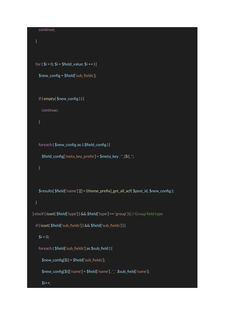```
continue;
 }
 for ($i = 0; $i < $field_value; $i ++) {
   $new_config = $field['sub_fields'];
   if ( empty( $new_config ) ) {
     continue;
   }
   foreach ( $new_config as &$field_config ) {
     $field_config['meta_key_prefix'] = $meta_key ."_{$i}_";
   }
   $results[ $field['name'] ][] = {theme_prefix}_get_all_acf( $post_id, $new_config );
 }
} elseif ( isset( $field['type'] ) && $field['type'] == 'group' ) { // Group field type
 if ( isset( $field['sub_fields'] ) && $field['sub_fields'] ) {
   $i = 0;foreach ( $field['sub_fields'] as $sub_field ) {
     $new_config[$i] = $field['sub_fields'];
     $new_config[$i]['name'] = $field['name'] . '_' .$sub_field['name'];
      $i++;
```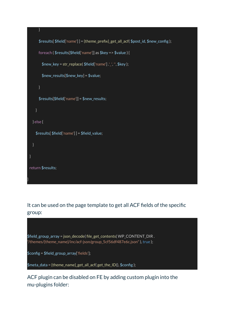

It can be used on the page template to get all ACF fields of the specific group:



ACF plugin can be disabled on FE by adding custom plugin into the mu-plugins folder: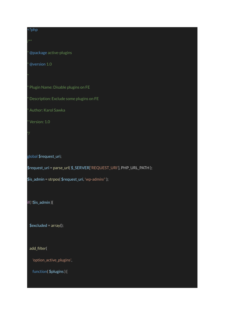#### <?php

@package active-plugins

@version 1.0

Plugin Name: Disable plugins on FE

Description: Exclude some plugins on FE

Author: Karol Sawka

Version: 1.0

global \$request\_uri;

\$request\_uri = parse\_url( \$\_SERVER['REQUEST\_URI'], PHP\_URL\_PATH );

\$is\_admin = strpos( \$request\_uri, 'wp-admin/' );

if( !\$is\_admin ){

 $$excluded = array();$ 

add\_filter(

'option\_active\_plugins',

function( \$plugins ) {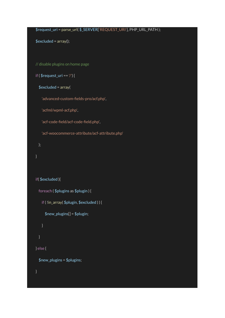```
$request_uri = parse_url( $_SERVER['REQUEST_URI'], PHP_URL_PATH );
```
 $$excluded = array();$ 

// disable plugins on home page

```
if ($request_uri == '\) {
```

```
$excluded = array(
```
'advanced-custom-fields-pro/acf.php',

'acfml/wpml-acf.php',

'acf-code-field/acf-code-field.php',

'acf-woocommerce-attribute/acf-attribute.php'

```
);
```

```
}
```

```
if( $excluded ){
  foreach ( $plugins as $plugin ) {
   if ( !in_array( $plugin, $excluded ) ) {
     $new plugins[] = $plusin;}
} else {
 $new_plugins = $plugins;
}
```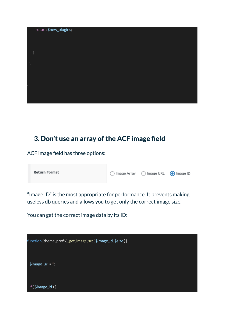

#### <span id="page-31-0"></span>3. Don't use an array of the ACF image field

ACF image field has three options:

| <b>Return Format</b> | ◯ Image Array (C) Image URL (O) Image ID |  |  |
|----------------------|------------------------------------------|--|--|
|                      |                                          |  |  |

"Image ID" is the most appropriate for performance. It prevents making useless db queries and allows you to get only the correct image size.

You can get the correct image data by its ID:

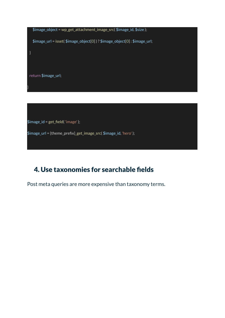

#### <span id="page-32-0"></span>4. Use taxonomies for searchable fields

Post meta queries are more expensive than taxonomy terms.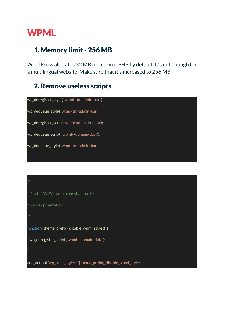# <span id="page-33-0"></span>WPML

}

#### <span id="page-33-1"></span>1. Memory limit - 256 MB

WordPress allocates 32 MB memory of PHP by default. It's not enough for a multilingual website. Make sure that it's increased to 256 MB.

#### <span id="page-33-2"></span>2. Remove useless scripts

| wp_deregister_style('wpml-tm-admin-bar');  |  |
|--------------------------------------------|--|
| wp_dequeue_style('wpml-tm-admin-bar');     |  |
| wp_deregister_script('wpml-xdomain-data'); |  |
| wp_dequeue_script('wpml-xdomain-data');    |  |
| wp_dequeue_style('wpml-tm-admin-bar');     |  |
|                                            |  |

Disable WPML admin bar styles on FE Speed optimization \*/ function {theme\_prefix}\_disable\_wpml\_styles() { wp\_deregister\_script('wpml-xdomain-data'); add\_action( 'wp\_print\_styles', '{theme\_prefix}\_disable\_wpml\_styles' );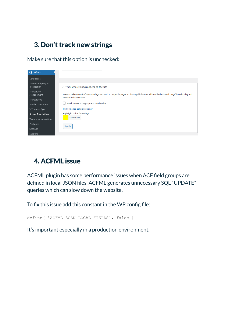#### <span id="page-34-0"></span>3. Don't track new strings

Make sure that this option is unchecked:



#### <span id="page-34-1"></span>4. ACFML issue

<span id="page-34-2"></span>ACFML plugin has some performance issues when ACF field groups are defined in local JSON files. ACFML generates unnecessary SQL "UPDATE" queries which can slow down the website.

To fix this issue add this constant in the WP config file:

```
define( 'ACFML SCAN LOCAL FIELDS', false )
```
It's important especially in a production environment.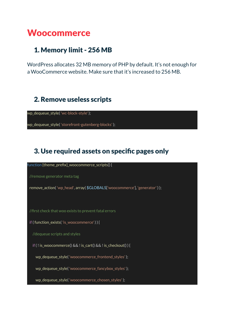# <span id="page-35-0"></span>**Woocommerce**

#### <span id="page-35-1"></span>1. Memory limit - 256 MB

WordPress allocates 32 MB memory of PHP by default. It's not enough for a WooCommerce website. Make sure that it's increased to 256 MB.

#### <span id="page-35-2"></span>2. Remove useless scripts

wp\_dequeue\_style( 'wc-block-style' );

wp\_dequeue\_style( 'storefront-gutenberg-blocks' );

#### <span id="page-35-3"></span>3. Use required assets on specific pages only

function {theme\_prefix}\_woocommerce\_scripts() {

//remove generator meta tag

remove\_action( 'wp\_head', array( \$GLOBALS['woocommerce'], 'generator' ) );

//first check that woo exists to prevent fatal errors

if ( function\_exists( 'is\_woocommerce' ) ) {

//dequeue scripts and styles

if ( ! is\_woocommerce() && ! is\_cart() && ! is\_checkout() ) {

wp\_dequeue\_style( 'woocommerce\_frontend\_styles' );

wp\_dequeue\_style( 'woocommerce\_fancybox\_styles' );

wp\_dequeue\_style( 'woocommerce\_chosen\_styles' );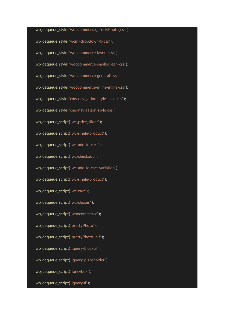wp\_dequeue\_style( 'woocommerce\_prettyPhoto\_css' ); wp\_dequeue\_style( 'wcml-dropdown-0-css' ); wp\_dequeue\_style( 'woocommerce-layout-css' ); wp dequeue style( 'woocommerce-smallscreen-css'); wp\_dequeue\_style( 'woocommerce-general-css' ); wp\_dequeue\_style('woocommerce-inline-inline-css'); wp\_dequeue\_style( 'cms-navigation-style-base-css' ); wp\_dequeue\_style( 'cms-navigation-style-css' ); wp\_dequeue\_script( 'wc\_price\_slider' ); wp\_dequeue\_script( 'wc-single-product' ); wp\_dequeue\_script( 'wc-add-to-cart' ); wp\_dequeue\_script( 'wc-checkout' ); wp\_dequeue\_script( 'wc-add-to-cart-variation' ); wp\_dequeue\_script( 'wc-single-product' ); wp\_dequeue\_script( 'wc-cart' ); wp\_dequeue\_script( 'wc-chosen' ); wp dequeue script( 'woocommerce' ); wp\_dequeue\_script( 'prettyPhoto' ); wp\_dequeue\_script( 'prettyPhoto-init' ); wp\_dequeue\_script( 'jquery-blockui' ); wp\_dequeue\_script( 'jquery-placeholder' ); wp\_dequeue\_script( 'fancybox' ); wp dequeue script( 'jqueryui' );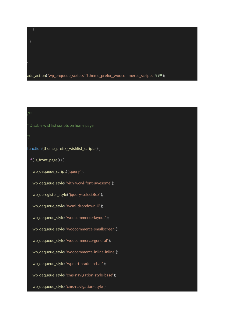add\_action( 'wp\_enqueue\_scripts', '{theme\_prefix}\_woocommerce\_scripts', 999 );

#### Disable wishlist scripts on home page

function {theme\_prefix}\_wishlist\_scripts() {

if ( is\_front\_page() ) {

}

}

}

wp\_dequeue\_script( 'jquery' );

wp\_dequeue\_style( 'yith-wcwl-font-awesome' );

wp\_deregister\_style( 'jquery-selectBox' );

wp\_dequeue\_style( 'wcml-dropdown-0' );

wp dequeue style( 'woocommerce-layout' );

wp\_dequeue\_style( 'woocommerce-smallscreen' );

wp\_dequeue\_style( 'woocommerce-general' );

wp\_dequeue\_style( 'woocommerce-inline-inline' );

wp\_dequeue\_style( 'wpml-tm-admin-bar' );

wp\_dequeue\_style( 'cms-navigation-style-base' );

wp\_dequeue\_style( 'cms-navigation-style' );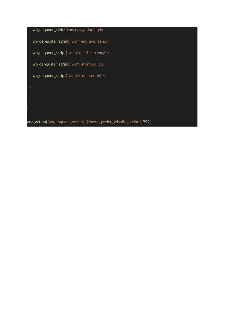wp\_dequeue\_style( 'cms-navigation-style' ); wp\_deregister\_script( 'wcml-multi-currency' ); wp\_dequeue\_script( 'wcml-multi-currency' ); wp\_deregister\_script( 'wcml-front-scripts' ); wp\_dequeue\_script( 'wcml-front-scripts' );

}

add\_action( 'wp\_enqueue\_scripts', '{theme\_prefix}\_wishlist\_scripts', 999 );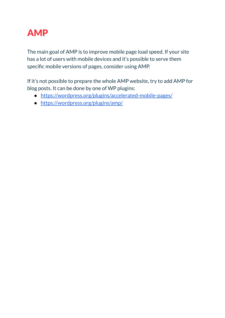<span id="page-39-0"></span>

The main goal of AMP is to improve mobile page load speed. If your site has a lot of users with mobile devices and it's possible to serve them specific mobile versions of pages, consider using AMP.

If it's not possible to prepare the whole AMP website, try to add AMP for blog posts. It can be done by one of WP plugins:

- <https://wordpress.org/plugins/accelerated-mobile-pages/>
- <https://wordpress.org/plugins/amp/>